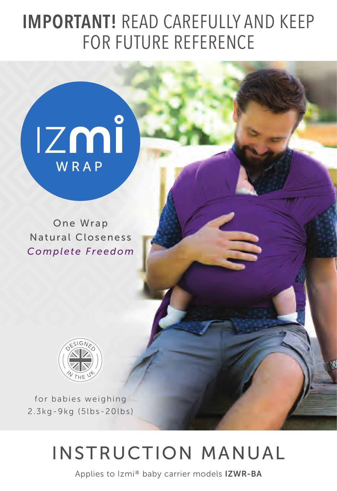## IMPORTANT! READ CAREFULLY AND KEEP FOR FUTURE REFERENCE



One Wrap Natural Closeness *Complete Freedom*



for babies weighing 2.3kg-9kg (5lbs-20lbs)

# INSTRUCTION MANUAL

Applies to Izmi® baby carrier models IZWR-BA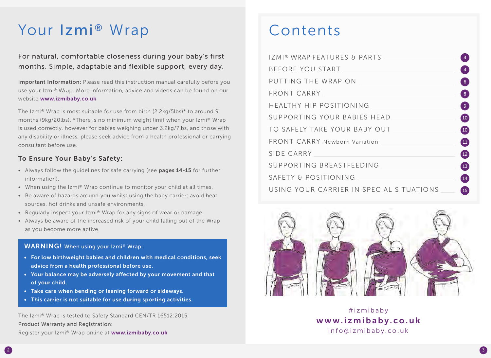# Your Izmi® Wrap Contents

## For natural, comfortable closeness during your baby's first months. Simple, adaptable and flexible support, every day.

Important Information: Please read this instruction manual carefully before you use your Izmi® Wrap. More information, advice and videos can be found on our website www.izmibaby.co.uk

The Izmi® Wrap is most suitable for use from birth (2.2kg/5lbs)\* to around 9 months (9kg/20lbs). \*There is no minimum weight limit when your Izmi® Wrap is used correctly, however for babies weighing under 3.2kg/7lbs, and those with any disability or illness, please seek advice from a health professional or carrying consultant before use.

## To Ensure Your Baby's Safety:

- Always follow the quidelines for safe carrying (see pages 14-15 for further information).
- When using the Izmi® Wrap continue to monitor your child at all times.
- Be aware of hazards around you whilst using the baby carrier; avoid heat sources, hot drinks and unsafe environments.
- Regularly inspect your  $Izm\otimes W$ rap for any signs of wear or damage.
- Always be aware of the increased risk of your child falling out of the Wrap as you become more active.

## WARNING! When using your Izmi® Wrap:

- For low birthweight babies and children with medical conditions, seek advice from a health professional before use.
- Your balance may be adversely affected by your movement and that of your child.
- Take care when bending or leaning forward or sideways.
- This carrier is not suitable for use during sporting activities.

The Izmi® Wrap is tested to Safety Standard CEN/TR 16512:2015. Product Warranty and Registration: Register your Izmi® Wrap online at www.izmibaby.co.uk

| IZMI® WRAP FEATURES & PARTS<br>$\overline{4}$                                                                                                                                                                                                                       |
|---------------------------------------------------------------------------------------------------------------------------------------------------------------------------------------------------------------------------------------------------------------------|
| $\overline{4}$                                                                                                                                                                                                                                                      |
| PUTTING THE WRAP ON<br>6 <sup>1</sup>                                                                                                                                                                                                                               |
| FRONT CARRY NAMES AND RESIDENCE AND RESIDENCE AND RESIDENCE AND RESIDENCE AND RESIDENCE AND RESIDENCE AND RESIDENCE AND RESIDENCE AND RESIDENCE AND RESIDENCE AND RESIDENCE AND RESIDENCE AND RESIDENCE AND RESIDENCE AND RESI<br>$\begin{bmatrix} 8 \end{bmatrix}$ |
| ( 9 )                                                                                                                                                                                                                                                               |
| SUPPORTING YOUR BABIES HEAD<br>(10)                                                                                                                                                                                                                                 |
| $\left( \begin{matrix} 10 \end{matrix} \right)$                                                                                                                                                                                                                     |
| $\blacksquare$                                                                                                                                                                                                                                                      |
| SIDE CARRY NAMES AND RESIDENCE CARRY<br>$\overline{12}$                                                                                                                                                                                                             |
| $\left(1\right)$                                                                                                                                                                                                                                                    |
| (14)                                                                                                                                                                                                                                                                |
| USING YOUR CARRIER IN SPECIAL SITUATIONS<br>(15)                                                                                                                                                                                                                    |



#izmibaby www.izmibaby.co.uk info@izmibaby.co.uk

3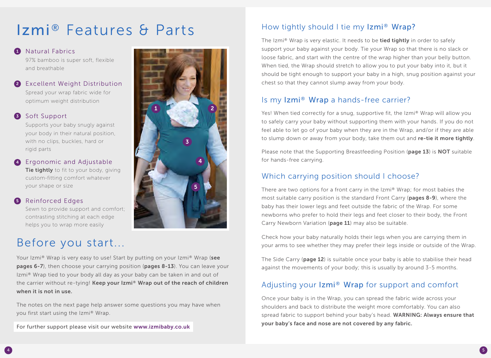# Izmi® Features & Parts

## **1** Natural Fabrics

97% bamboo is super soft, flexible and breathable

Excellent Weight Distribution 2 Spread your wrap fabric wide for optimum weight distribution

## **3** Soft Support

Supports your baby snugly against your body in their natural position, with no clips, buckles, hard or rigid parts

4 Ergonomic and Adjustable **Tie tightly** to fit to your body, giving custom-fitting comfort whatever your shape or size

## **5** Reinforced Edges

Sewn to provide support and comfort; contrasting stitching at each edge helps you to wrap more easily

## Before you start...

Your Izmi<sup>®</sup> Wrap is very easy to use! Start by putting on your Izmi<sup>®</sup> Wrap (see pages 6-7), then choose your carrying position (pages 8-13). You can leave your Izmi® Wrap tied to your body all day as your baby can be taken in and out of the carrier without re-tying! Keep your Izmi® Wrap out of the reach of children when it is not in use.

The notes on the next page help answer some questions you may have when you first start using the Izmi® Wrap.

For further support please visit our website www.izmibaby.co.uk



5

## How tightly should I tie my Izmi® Wrap?

The Izmi® Wrap is very elastic. It needs to be tied tightly in order to safely support your baby against your body. Tie your Wrap so that there is no slack or loose fabric, and start with the centre of the wrap higher than your belly button. When tied, the Wrap should stretch to allow you to put your baby into it, but it should be tight enough to support your baby in a high, snug position against your chest so that they cannot slump away from your body.

## Is my Izmi® Wrap a hands-free carrier?

Yes! When tied correctly for a snug, supportive fit, the Izmi® Wrap will allow you to safely carry your baby without supporting them with your hands. If you do not feel able to let go of your baby when they are in the Wrap, and/or if they are able to slump down or away from your body, take them out and re-tie it more tightly.

Please note that the Supporting Breastfeeding Position (page 13) is NOT suitable for hands-free carrying.

## Which carrying position should I choose?

There are two options for a front carry in the Izmi® Wrap; for most babies the most suitable carry position is the standard Front Carry (pages 8-9), where the baby has their lower legs and feet outside the fabric of the Wrap. For some newborns who prefer to hold their legs and feet closer to their body, the Front Carry Newborn Variation (page 11) may also be suitable.

Check how your baby naturally holds their legs when you are carrying them in your arms to see whether they may prefer their legs inside or outside of the Wrap.

The Side Carry (page 12) is suitable once your baby is able to stabilise their head against the movements of your body; this is usually by around 3-5 months.

## Adjusting your Izmi® Wrap for support and comfort

Once your baby is in the Wrap, you can spread the fabric wide across your shoulders and back to distribute the weight more comfortably. You can also spread fabric to support behind your baby's head. WARNING: Always ensure that your baby's face and nose are not covered by any fabric.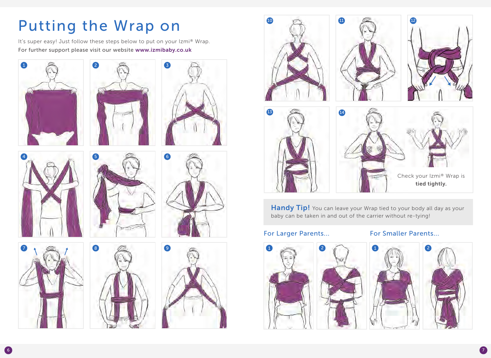# Putting the Wrap on

It's super easy! Just follow these steps below to put on your Izmi® Wrap. For further support please visit our website www.izmibaby.co.uk











Handy Tip! You can leave your Wrap tied to your body all day as your baby can be taken in and out of the carrier without re-tying!

## For Larger Parents... For Smaller Parents...





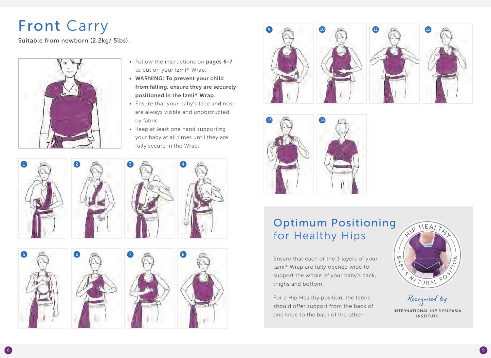# Front Carry

Suitable from newborn (2.2kg/ 5lbs).



- Follow the instructions on pages 6-7 to put on your Izmi® Wrap.
- WARNING: To prevent your child from falling, ensure they are securely positioned in the Izmi® Wrap.
- Ensure that your baby's face and nose are always visible and unobstructed by fabric.
- $\bullet$  Keep at least one hand supporting your baby at all times until they are fully secure in the Wrap.















## Optimum Positioning for Healthy Hips

Ensure that each of the 3 layers of your Izmi® Wrap are fully opened wide to support the whole of your baby's back, thighs and bottom.

For a Hip Healthy position, the fabric should offer support from the back of one knee to the back of the other.



Recognised by INTERNATIONAL HIP DYSLPASIA INSTITUTE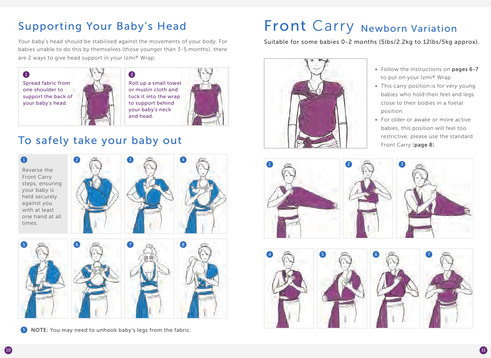Your baby's head should be stabilised against the movements of your body. For babies unable to do this by themselves (those younger than 3-5 months), there are 2 ways to give head support in your Izmi® Wrap:



Roll up a small towel or muslin cloth and tuck it into the wrap to support behind your baby's neck and head.



## To safely take your baby out



Reverse the Front Carry steps, ensuring your baby is held securely against you with at least one hand at all times.







5 **NOTE:** You may need to unhook baby's legs from the fabric.

# Supporting Your Baby's Head Front Carry Newborn Variation

Suitable for some babies 0-2 months (5lbs/2.2kg to 12lbs/5kg approx).



- Follow the instructions on pages 6-7 to put on your Izmi® Wrap.
- This carry position is for very young babies who hold their feet and legs close to their bodies in a foetal position.
- For older or awake or more active babies, this position will feel too restrictive; please use the standard Front Carry (page 8).



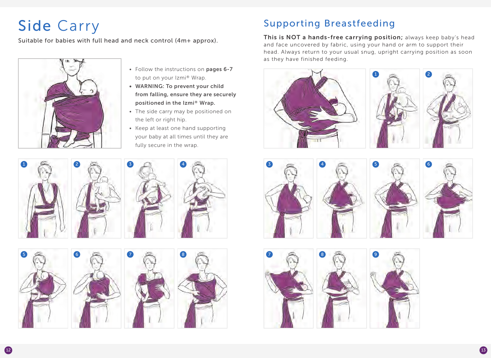# Side Carry



- Follow the instructions on pages 6-7 to put on your Izmi® Wrap.
- WARNING: To prevent your child from falling, ensure they are securely positioned in the Izmi® Wrap.
- The side carry may be positioned on the left or right hip.
- Keep at least one hand supporting your baby at all times until they are fully secure in the wrap.









## Supporting Breastfeeding

Suitable for babies with full head and neck control (4m+ approx). This is NOT a hands-free carrying position; always keep baby's head and face uncovered by fabric, using your hand or arm to support their head. Always return to your usual snug, upright carrying position as soon as they have finished feeding.













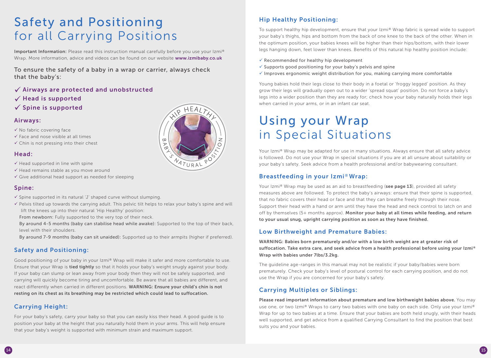## Safety and Positioning for all Carrying Positions

Important Information: Please read this instruction manual carefully before you use your Izmi® Wrap. More information, advice and videos can be found on our website www.izmibaby.co.uk

 $HEA$ 

 $4711RAV$ 

To ensure the safety of a baby in a wrap or carrier, always check that the baby's:

- $\checkmark$  Airways are protected and unobstructed
- $\checkmark$  Head is supported
- $\checkmark$  Spine is supported

#### Airways:

- $\checkmark$  No fabric covering face
- $\checkmark$  Face and nose visible at all times
- $\checkmark$  Chin is not pressing into their chest

#### Head:

- $\checkmark$  Head supported in line with spine
- $\checkmark$  Head remains stable as you move around
- $\checkmark$  Give additional head support as needed for sleeping

## Spine:

- $\checkmark$  Spine supported in its natural 'J' shaped curve without slumping.
- $\checkmark$  Pelvis tilted up towards the carrying adult. This pelvic tilt helps to relax your baby's spine and will lift the knees up into their natural 'Hip Healthy' position:
- From newborn: Fully supported to the very top of their neck.
- By around 4-5 months (baby can stabilise head while awake): Supported to the top of their back, level with their shoulders.
- By around 7-9 months (baby can sit unaided): Supported up to their armpits (higher if preferred).

## Safety and Positioning:

Good positioning of your baby in your Izmi® Wrap will make it safer and more comfortable to use. Ensure that your Wrap is **tied tightly** so that it holds your baby's weight snugly against your body. If your baby can slump or lean away from your body then they will not be safely supported, and carrying will quickly become tiring and uncomfortable. Be aware that all babies are different, and react differently when carried in different positions. WARNING: Ensure your child's chin is not resting on its chest as its breathing may be restricted which could lead to suffocation.

## Carrying Height:

For your baby's safety, carry your baby so that you can easily kiss their head. A good guide is to position your baby at the height that you naturally hold them in your arms. This will help ensure that your baby's weight is supported with minimum strain and maximum support.



Your Izmi® Wrap may be adapted for use in many situations. Always ensure that all safety advice is followed. Do not use your Wrap in special situations if you are at all unsure about suitability or your baby's safety. Seek advice from a health professional and/or babywearing consultant.

## Breastfeeding in your Izmi®Wrap:

Your Izmi® Wrap may be used as an aid to breastfeeding (see page 13), provided all safety measures above are followed. To protect the baby's airways: ensure that their spine is supported, that no fabric covers their head or face and that they can breathe freely through their nose. Support their head with a hand or arm until they have the head and neck control to latch on and off by themselves (5+ months approx). Monitor your baby at all times while feeding, and return to your usual snug, upright carrying position as soon as they have finished.

## Low Birthweight and Premature Babies:

WARNING: Babies born prematurely and/or with a low birth weight are at greater risk of suffocation. Take extra care, and seek advice from a health professional before using your Izmi® Wrap with babies under 7lbs/3.2kg.

The guideline age-ranges in this manual may not be realistic if your baby/babies were born prematurely. Check your baby's level of postural control for each carrying position, and do not use the Wrap if you are concerned for your baby's safety.

## Carrying Multiples or Siblings:

Please read important information about premature and low birthweight babies above. You may use one, or two Izmi® Wraps to carry two babies with one baby on each side. Only use your Izmi® Wrap for up to two babies at a time. Ensure that your babies are both held snugly, with their heads well supported, and get advice from a qualified Carrying Consultant to find the position that best suits you and your babies.





#### Hip Healthy Positioning:

To support healthy hip development, ensure that your Izmi® Wrap fabric is spread wide to support your baby's thighs, hips and bottom from the back of one knee to the back of the other. When in the optimum position, your babies knees will be higher than their hips/bottom, with their lower legs hanging down, feet lower than knees. Benefits of this natural hip healthy position include:

- $\checkmark$  Recommended for healthy hip development
- $\checkmark$  Supports good positioning for your baby's pelvis and spine
- $\checkmark$  Improves ergonomic weight distribution for you, making carrying more comfortable

Young babies hold their legs close to their body in a foetal or 'froggy legged' position. As they grow their legs will gradually open out to a wider 'spread squat' position. Do not force a baby's legs into a wider position than they are ready for; check how your baby naturally holds their legs when carried in your arms, or in an infant car seat.